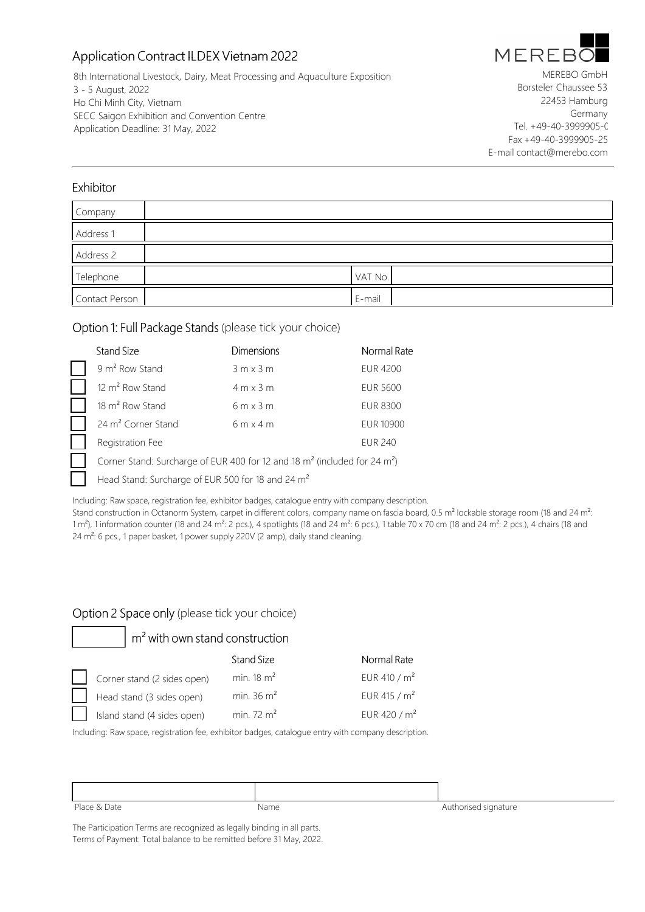# Application Contract ILDEX Vietnam 2022



8th International Livestock, Dairy, Meat Processing and Aquaculture Exposition 3 - 5 August, 2022 Ho Chi Minh City, Vietnam SECC Saigon Exhibition and Convention Centre Application Deadline: 31 May, 2022

MEREBO GmbH Borsteler Chaussee 53 22453 Hamburg Germany Tel. +49-40-3999905-0 Fax +49-40-3999905-25 E-mail contact@merebo.com

### Exhibitor

| Company        |         |
|----------------|---------|
| Address 1      |         |
| Address 2      |         |
| Telephone      | VAT No. |
| Contact Person | E-mail  |

### Option 1: Full Package Stands (please tick your choice)

| Stand Size                                                                                        | <b>Dimensions</b> | Normal Rate     |
|---------------------------------------------------------------------------------------------------|-------------------|-----------------|
| 9 m <sup>2</sup> Row Stand                                                                        | $3m \times 3m$    | <b>EUR 4200</b> |
| 12 m <sup>2</sup> Row Stand                                                                       | $4m \times 3m$    | <b>EUR 5600</b> |
| 18 m <sup>2</sup> Row Stand                                                                       | $6m \times 3m$    | <b>EUR 8300</b> |
| 24 m <sup>2</sup> Corner Stand                                                                    | $6m \times 4m$    | EUR 10900       |
| Registration Fee                                                                                  |                   | <b>EUR 240</b>  |
| Corner Stand: Surcharge of EUR 400 for 12 and 18 m <sup>2</sup> (included for 24 m <sup>2</sup> ) |                   |                 |
| Head Stand: Surcharge of EUR 500 for 18 and 24 m <sup>2</sup>                                     |                   |                 |

Including: Raw space, registration fee, exhibitor badges, catalogue entry with company description.

Stand construction in Octanorm System, carpet in different colors, company name on fascia board, 0.5 m<sup>2</sup> lockable storage room (18 and 24 m<sup>2</sup>: 1 m<sup>2</sup>), 1 information counter (18 and 24 m<sup>2</sup>: 2 pcs.), 4 spotlights (18 and 24 m<sup>2</sup>: 6 pcs.), 1 table 70 x 70 cm (18 and 24 m<sup>2</sup>: 2 pcs.), 4 chairs (18 and 24 m<sup>2</sup>: 6 pcs., 1 paper basket, 1 power supply 220V (2 amp), daily stand cleaning.

### Option 2 Space only (please tick your choice)

m<sup>2</sup> with own stand construction **Stand Size** Normal Rate Corner stand (2 sides open) min. 18 m<sup>2</sup> EUR 410 / m<sup>2</sup> Head stand (3 sides open) min. 36 m<sup>2</sup> EUR 415 / m<sup>2</sup> min. 72 m<sup>2</sup> EUR 420 / m<sup>2</sup> Island stand (4 sides open)

Including: Raw space, registration fee, exhibitor badges, catalogue entry with company description.

| Place & Date | Name | Authorised signature |
|--------------|------|----------------------|

The Participation Terms are recognized as legally binding in all parts. Terms of Payment: Total balance to be remitted before 31 May, 2022.